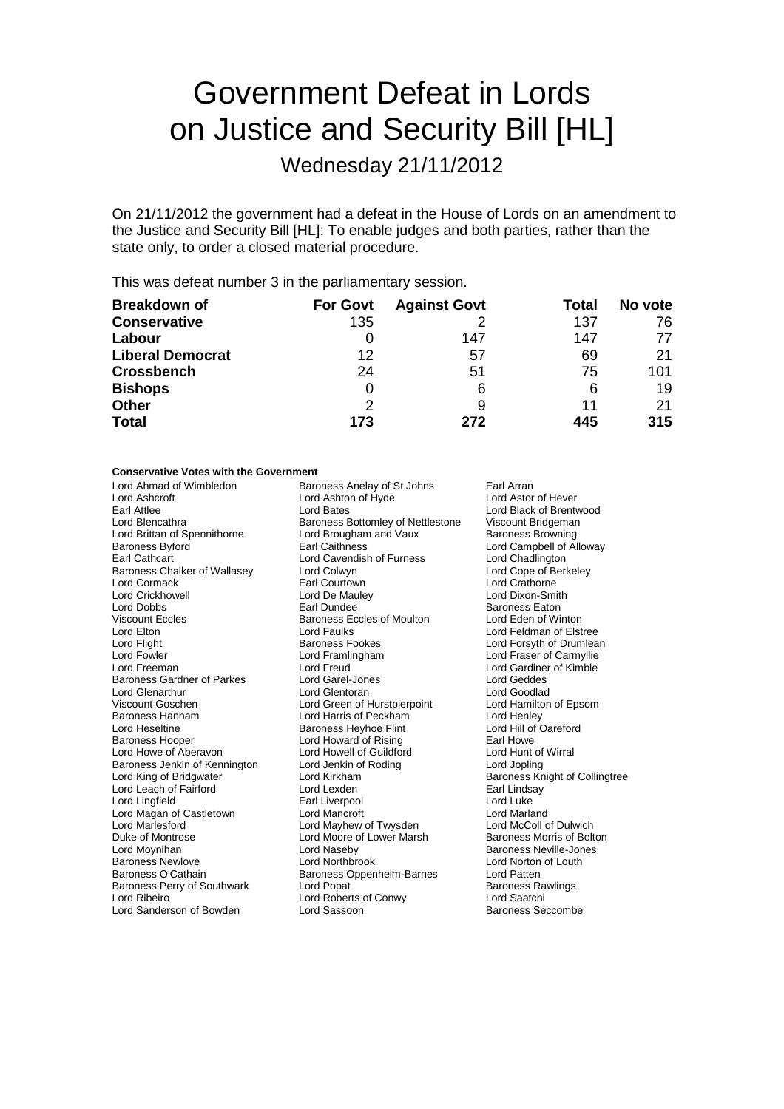# Government Defeat in Lords on Justice and Security Bill [HL]

Wednesday 21/11/2012

On 21/11/2012 the government had a defeat in the House of Lords on an amendment to the Justice and Security Bill [HL]: To enable judges and both parties, rather than the state only, to order a closed material procedure.

This was defeat number 3 in the parliamentary session.

| <b>Breakdown of</b>     | <b>For Govt</b> | <b>Against Govt</b> | Total | No vote |
|-------------------------|-----------------|---------------------|-------|---------|
| <b>Conservative</b>     | 135             |                     | 137   | 76      |
| Labour                  | O               | 147                 | 147   | 77      |
| <b>Liberal Democrat</b> | 12              | 57                  | 69    | 21      |
| <b>Crossbench</b>       | 24              | 51                  | 75    | 101     |
| <b>Bishops</b>          | O               | 6                   | 6     | 19      |
| <b>Other</b>            | 2               | 9                   | 11    | 21      |
| <b>Total</b>            | 173             | 272                 | 445   | 315     |

### **Conservative Votes with the Government**

| OUNJG VAN VG VOLGJ WINI NIG       | ,,,,,,,,,,,,,                     |                     |
|-----------------------------------|-----------------------------------|---------------------|
| Lord Ahmad of Wimbledon           | Baroness Anelay of St Johns       | Earl Arran          |
| Lord Ashcroft                     | Lord Ashton of Hyde               | Lord Astor o        |
| Earl Attlee                       | <b>Lord Bates</b>                 | Lord Black c        |
| Lord Blencathra                   | Baroness Bottomley of Nettlestone | Viscount Bri        |
| Lord Brittan of Spennithorne      | Lord Brougham and Vaux            | <b>Baroness Br</b>  |
| <b>Baroness Byford</b>            | <b>Earl Caithness</b>             | Lord Campb          |
| <b>Earl Cathcart</b>              | Lord Cavendish of Furness         | <b>Lord Chadlin</b> |
| Baroness Chalker of Wallasey      | Lord Colwyn                       | Lord Cope o         |
| Lord Cormack                      | Earl Courtown                     | Lord Crathor        |
| <b>Lord Crickhowell</b>           | Lord De Mauley                    | Lord Dixon-S        |
| Lord Dobbs                        | Earl Dundee                       | <b>Baroness Ea</b>  |
| <b>Viscount Eccles</b>            | <b>Baroness Eccles of Moulton</b> | Lord Eden o         |
| Lord Elton                        | <b>Lord Faulks</b>                | Lord Feldma         |
| Lord Flight                       | <b>Baroness Fookes</b>            | Lord Forsyth        |
| Lord Fowler                       | Lord Framlingham                  | Lord Fraser         |
| Lord Freeman                      | Lord Freud                        | Lord Gardine        |
| <b>Baroness Gardner of Parkes</b> | Lord Garel-Jones                  | Lord Geddes         |
| Lord Glenarthur                   | Lord Glentoran                    | Lord Goodla         |
| Viscount Goschen                  | Lord Green of Hurstpierpoint      | Lord Hamilto        |
| <b>Baroness Hanham</b>            | Lord Harris of Peckham            | Lord Henley         |
| Lord Heseltine                    | Baroness Heyhoe Flint             | Lord Hill of C      |
| <b>Baroness Hooper</b>            | Lord Howard of Rising             | Earl Howe           |
| Lord Howe of Aberavon             | Lord Howell of Guildford          | Lord Hunt of        |
| Baroness Jenkin of Kennington     | Lord Jenkin of Roding             | Lord Jopling        |
| Lord King of Bridgwater           | Lord Kirkham                      | <b>Baroness Kr</b>  |
| Lord Leach of Fairford            | Lord Lexden                       | Earl Lindsay        |
| Lord Lingfield                    | Earl Liverpool                    | Lord Luke           |
| Lord Magan of Castletown          | <b>Lord Mancroft</b>              | Lord Marlan         |
| Lord Marlesford                   | Lord Mayhew of Twysden            | Lord McColl         |
| Duke of Montrose                  | Lord Moore of Lower Marsh         | Baroness M          |
| Lord Moynihan                     | Lord Naseby                       | Baroness Ne         |
| <b>Baroness Newlove</b>           | <b>Lord Northbrook</b>            | Lord Norton         |
| Baroness O'Cathain                | Baroness Oppenheim-Barnes         | Lord Patten         |
| Baroness Perry of Southwark       | Lord Popat                        | <b>Baroness Ra</b>  |
| Lord Ribeiro                      | Lord Roberts of Conwy             | Lord Saatch         |
| Lord Sanderson of Bowden          | Lord Sassoon                      | Baroness Se         |

Lord Astor of Hever Lord Black of Brentwood lestone Viscount Bridgeman Baroness Browning Lord Campbell of Alloway Lord Chadlington Lord Cope of Berkeley Lord Crathorne Lord Dixon-Smith Baroness Eaton Lord Eden of Winton Lord Feldman of Elstree Lord Forsyth of Drumlean Lord Fraser of Carmyllie Lord Gardiner of Kimble Lord Geddes Lord Goodlad t Cord Hamilton of Epsom Lord Henley Lord Hill of Oareford Earl Howe Lord Hunt of Wirral Lord Jopling Baroness Knight of Collingtree Earl Lindsay Lord Luke Lord Marland Lord McColl of Dulwich Baroness Morris of Bolton Baroness Neville-Jones Lord Norton of Louth<br>Lord Patten Baroness Rawlings Lord Saatchi Baroness Seccombe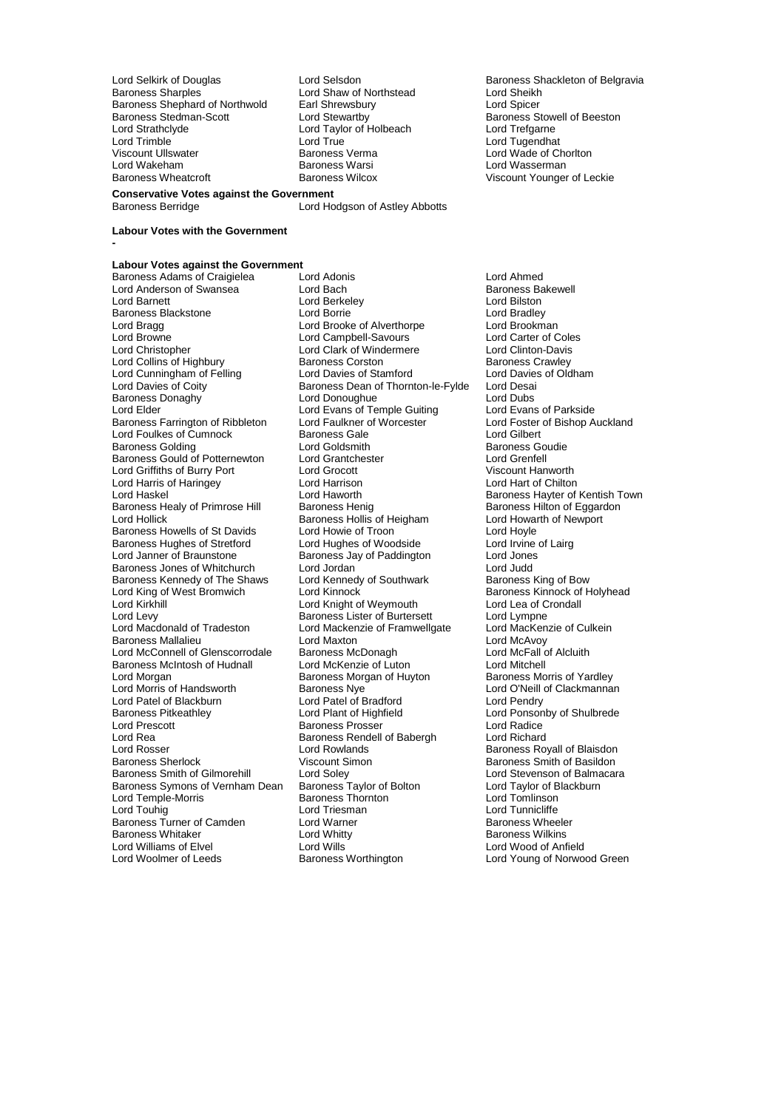Lord Selkirk of Douglas Lord Selsdon<br>
Baroness Sharples<br>
Lord Shaw of Northstead
Lord Sheikh<br>
Lord Sheikh Baroness Shephard of Northwold Earl Shrewsbury **Earl Shipmon Constructs** Lord Spicer<br>
Baroness Stedman-Scott **Lord Stewartby** Constructs Baroness Stowell of Beeston Baroness Stedman-Scott **Lord Stewartby Communist Construct** Baroness Stowell of Beeston Lord Strathclyde Lord Taylor of Holbeach Lord Trefgarne Lord Trimble Lord True Lord Tugendhat Viscount Ullswater Baroness Verma Lord Wade of Chorlton Lord Wakeham **Baroness Warsi** Christen and Marketinan Baroness Warsi **Lord Wasserman**<br>
Baroness Wheatcroft **Christen Baroness Wilcox** Christen Miscount Younger **Conservative Votes against the Government**

Lord Shaw of Northstead Lord Sheikh<br>Earl Shrewsbury Lord Spicer

Lord Hodgson of Astley Abbotts

Viscount Younger of Leckie

#### **Labour Votes with the Government**

**-**

**Labour Votes against the Government** Baroness Adams of Craigielea Lord Adonis Lord Ahmed Lord Anderson of Swansea Lord Bach Baroness Baroness Baroness Baroness Baroness Baroness Baroness Baroness Baroness Baroness Baroness Baroness Baroness Baroness Baroness Baroness Baroness Baroness Baroness Baroness Barones Baroness Blackstone **Lord Borrie** Lord Borrie **Lord Bradley**<br>
Lord Bradge Lord Brooke of Alverthorpe Lord Brookman Lord Bragg Lord Brooke of Alverthorpe Lord Brookman Lord Browne **Lord Campbell-Savours** Lord Carter of Cole<br>
Lord Christopher **Lord Clark of Windermere** Lord Clinton-Davis Lord Collins of Highbury **Baroness Corston** Baroness Cawley<br>
Lord Cunningham of Felling **Baroness Corston Baroness Crawley**<br>
Lord Cunningham of Felling **Baroness Corston Baroness Crawley** Lord Cunningham of Felling Lord Davies of Stamford Lord Davies<br>
Lord Davies of Coity Baroness Dean of Thornton-le-Fylde Lord Desai Baroness Donaghy **State Occident Lord Donoughue** Lord Dubs<br>
Lord Elder Lord Evans of Temple Guiting Lord Evans of Parkside Baroness Farrington of Ribbleton Lord Faulkner of Worcester Lord Foster of Bishop Auckland Lord Foulkes of Cumnock **Baroness Gale** Lord Gilbert Lord Gilbert Baroness Golding The Lord Goldsmith<br>Baroness Gould of Potternewton Lord Grantchester The Lord Grenfell Baroness Gould of Potternewton Lord Grantchester **Lord Grentell**<br>Lord Griffiths of Burry Port Lord Grocott Lord Grocott Christian Wiscount Hanworth Lord Griffiths of Burry Port Lord Grocott Viscount Hanworth Lord Harris of Haringey **Lord Harrison**<br>
Lord Haskel Chilton Lord Haworth Baroness Healy of Primrose Hill Baroness Henig Baroness Healy of Eggardoness Hilton of Eggardoness Hollis of Heigham Baroness Hollis of Heigham Lord Howarth of Newport Baroness Howells of St Davids Lord Howie of Troon Troon Lord Hoyle<br>
Baroness Hughes of Stretford Lord Hughes of Woodside Lord Irvine of Lairg Baroness Hughes of Stretford Lord Hughes of Woodside Lord Irvine<br>
Lord Janner of Braunstone Baroness Jay of Paddington Lord Jones Baroness Jones of Whitchurch Lord Jordan Lord Dudd<br>
Baroness Kennedy of The Shaws Lord Kennedy of Southwark Baroness King of Bow Baroness Kennedy of The Shaws Lord Kennedy<br>Lord King of West Bromwich Lord Kinnock Lord King of West Bromwich Lord Kinnock Lord Corporation Baroness Kinnock of Holyhead<br>
Lord Kirkhill Lord Kinnock Lord Knight of Weymouth Lord Lea of Crondall Lord Kirkhill **Lord Lord Knight of Weymouth** Lord Lea of C<br>
Lord Levy **Condation** Baroness Lister of Burtersett Lord Lympne Lord Levy<br>
Lord Macdonald of Tradeston 
Lord Mackenzie of Framwellgate Lord MacKenzie of Culkein<br>
Lord Macdonald of Tradeston 
Lord Mackenzie of Framwellgate Lord MacKenzie of Culkein Baroness Mallalieu Lord McConnell of Glenscorrodale Baroness McDonagh Lord McFall of Alcluith<br>
Baroness McIntosh of Hudnall Lord McKenzie of Luton Lord Mitchell Baroness McIntosh of Hudnall Lord McKenzie of Luton Lord Mitchell<br>
Lord Morgan Lord McKenzie of Yardley<br>
Baroness Morris of Yardley Lord Morgan<br>
Lord Morris of Handsworth<br>
Baroness Nve Lord Morris of Handsworth **Baroness Nye** Lord O'Neill of Clackmannan<br>
Lord Patel of Blackburn Lord Patel of Bradford Lord Pendry Lord Patel of Blackburn Lord Patel of Bradford<br>
Baroness Pitkeathley Lord Plant of Highfield Baroness Pitkeathley **Lord Plant of Highfield** Hight Lord Ponsonby of Shulbrede<br>
Lord Prescott **Lord Ponsonby Consoling Consoling Baroness Prosser** Lord Radice Lord Rea **Baroness Rendell of Babergh** Lord Richard Lord Rosser **Lord Rowlands**<br>
Baroness Sherlock **Notain Communist Communist Communist Communist Communist Communist Communist Communist Communist Communist Communist Communist Communist Communist Communist Communist Communi** Baroness Sherlock **Viscount Simon**<br>Baroness Smith of Gilmorehill Lord Solev **Baroness Smith of Balmaca** Baroness Symons of Vernham Dean Baroness Taylor of Bolton Lord Taylor of B<br>Lord Temple-Morris Baroness Thornton Lord Tomlinson Lord Temple-Morris and Baroness Thorn<br>
Lord Touhig<br>
Lord Triesman Baroness Turner of Camden Baroness Whitaker Lord Whitty Baroness Wilkins Lord Williams of Elvel **Lord Wills** Lord Wills **Lord Wills** Lord Wood of Anfield<br>
Lord Woolmer of Leeds **Baroness Worthington** Lord Young of Norwoo

Lord Berkeley **Lord Bilston**<br>
Lord Borrie **Lord Bradley** Lord Clark of Windermere Lord Clinton-Davis<br>Baroness Corston Baroness Crawley Baroness Dean of Thornton-le-Fylde Lord Desai<br>Lord Donoughue Lord Dubs Lord Evans of Temple Guiting Lord Evans of Parkside<br>
Lord Faulkner of Worcester Lord Foster of Bishop Auckland Lord Haworth **Baroness Hayter of Kentish Town**<br>
Baroness Henig **Baroness Hilton** of Eggardon Baroness Hollis of Heigham Lord Howarth Lord Howarth Cord Hoyle<br>
Lord Howie of Troon Baroness Jay of Paddington Lord Jones<br>
Lord Jordan Lord Judd Lord Mackenzie of Framwellgate Lord Macken<br>Lord Maxton Lord McAvoy Baroness Prosser Lord Soley<br>
Baroness Taylor of Bolton<br>
Lord Taylor of Blackburn<br>
Lord Taylor of Blackburn Lord Triesman **Lord Tunnicliffe**<br>
Lord Warner **Lord Warner** Baroness Wheeler

Lord Young of Norwood Green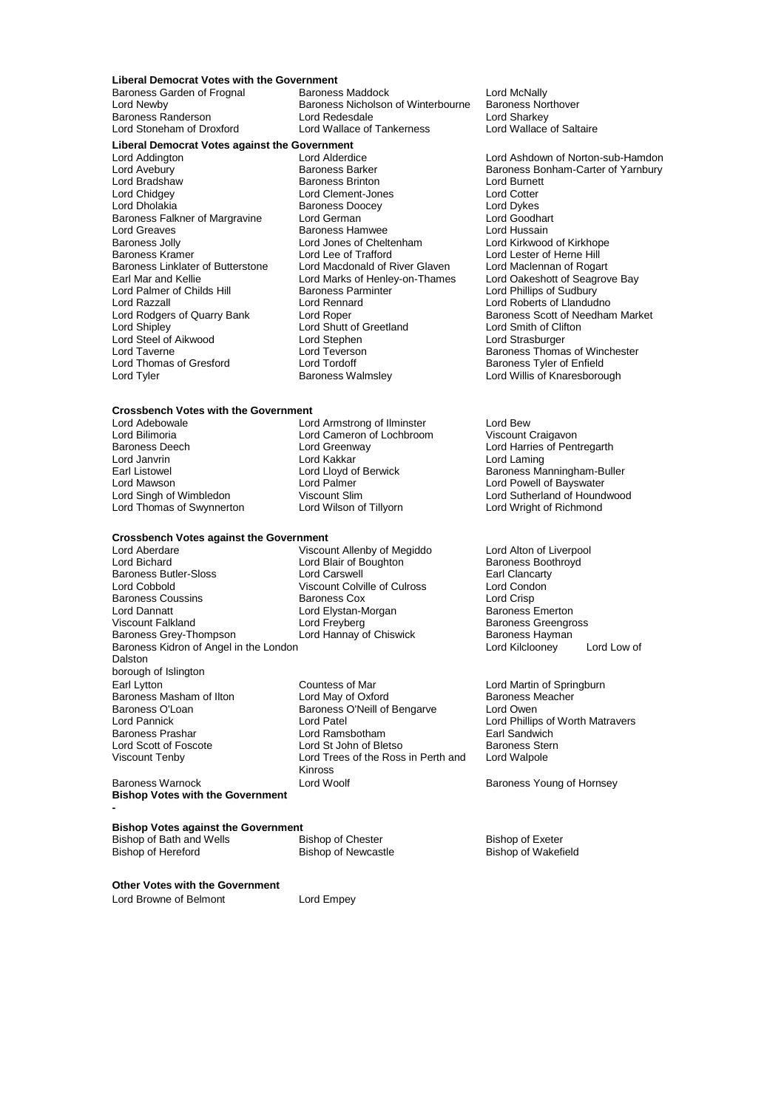# **Liberal Democrat Votes with the Government**

Baroness Randerson **Lord Redesdale**<br> **Lord Stoneham of Droxford Lord Wallace of Tankerness** 

Baroness Garden of Frognal Baroness Maddock Lord McNally<br>Lord Newby **Baroness Not Baroness Nicholson** of Winterbourne Baroness Northover Baroness Nicholson of Winterbourne Baroness Northover<br>Lord Redesdale Lord Sharkey

# **Liberal Democrat Votes against the Government**

Lord Greaves<br>
Baroness Jolly **Baroness Hamwee**<br>
Lord Jones of Cheltenham Lord Steel of Aikwood Lord Stephen<br>
Lord Taverne 
Lord Teverson Lord Thomas of Gresford Lord Tordoff Container Baroness Tyler of Enfield<br>
Lord Tyler Containers Baroness Walmsley<br>
Lord Willis of Knaresborou

Lord Addington **Lord Alderdice** Lord Alderdice Lord Ashdown of Norton-sub-Hamdon<br>Lord Avebury **Lord Ashmulting Corporation** Baroness Barker **Corporation** Baroness Bonham-Carter of Yarnbury Lord Bradshaw **Baroness Brinton** Lord Burnet Lord Burnet<br>
Lord Chidgey **Container Lord Clement-Jones** Lord Cotter Lord Chidgey Lord Clement-Jones Lord Cotter Baroness Doocey **Lord Dykes**<br>
Lord German **Lord Goodhart** Baroness Falkner of Margravine Lord German Lord Goodhart Lord Goodhart Lord Goodhart<br>
Lord Greaves Lord Hussain Baroness Hamwee Lord Hussain Baroness Jolly **Lord Jones of Cheltenham** Cord Kirkwood of Kirkhope<br>Baroness Kramer **Lord Lexe of Trafford** Lord Lester of Herne Hill Lord Lee of Trafford<br>
Lord Macdonald of River Glaven
Lord Maclennan of Rogart Baroness Linklater of Butterstone Lord Macdonald of River Glaven Lord Maclennan of Rogart<br>
Lord Mar and Kellie Cord Marks of Henley-on-Thames Lord Oakeshott of Seagrove Bay Earl Mar and Kellie Lord Marks of Henley-on-Thames<br>Lord Palmer of Childs Hill Baroness Parminter Lord Palmer of Childs Hill **Baroness Parminter** Lord Phillips of Sudbury<br>Lord Razzall **Lord Rennard** Lord Rennard Lord Roberts of Llandud Lord Razzall Lord Rennard Lord Roberts of Llandudno Lord Shutt of Greetland Lord Smith of Clifton Cord Strasburger<br>
Lord Strasburger Lord Taverne **Lord Teverson**<br>
Lord Thomas of Gresford **Lord Tordoff Consumerse The Baroness Tyler of Enfield** 

## **Crossbench Votes with the Government**

Lord Adebowale **Lord Armstrong of Ilminster** Lord Bew<br>
Lord Bilimoria **Communisty Lord Cameron of Lochbroom** Viscount Craigavon Lord Bilimoria **Lord Cameron of Lochbroom**<br>
Baroness Deech **Lord Greenway** Lord Janvrin Lord Kakkar Lord Laming Lord Mawson **Lord Palmer** Communist Lord Powell of Bayswater<br>
Lord Singh of Wimbledon **Lord Powell of Bayswater**<br>
Lord Sutherland of Hound Lord Thomas of Swynnerton

### **Crossbench Votes against the Government**<br>Lord Aberdare Viscou

Lord Aberdare Viscount Allenby of Megiddo Lord Alton of Liverpool Baroness Butler-Sloss Lord Carswell Carswell Earl Clancarty<br>
Lord Cobbold Color University Color Lord Condon<br>
Lord Condon Baroness Coussins Baroness Cox Lord Crisp Lord Dannatt Lord Elystan-Morgan<br>1982 - Lord Englished Lord Ereyberg Viscount Falkland **Lord Freyberg** Christian Baroness Greengross<br>
Baroness Grey-Thompson Lord Hannay of Chiswick Baroness Hayman Baroness Kidron of Angel in the London Lord Kilclooney Lord Low of Dalston borough of Islington<br>Earl Lytton Baroness O'Loan Baroness O'Neill of Bengarve<br>
Lord Pannick<br>
Lord Patel Baroness Prashar

Lord Blair of Boughton Baroness Boothroughton Baroness Boothroughton Baroness Boothroughton Baroness Boothrow<br>Baroness Boothrow Baroness Boothrow Baroness Boothrow Baroness Boothrow Baroness Boothrow Baroness Boothrow B Lord Carencia.<br>
Viscount Colville of Culross Lord Condon<br>
Lord Crisp<br>
Lord Crisp Lord Hannay of Chiswick Baroness Haym<br>Lord Kilclooney

Countess of Mar **Earl Lord Martin of Springburn**<br>
Lord May of Oxford **County County County County County County County County County County County County County** Baroness Masham of Ilton Lord May of Oxford Corporation Baroness N<br>Baroness O'Loan Baroness O'Neill of Bengarve Lord Owen Lord Patel Lord Phillips of Worth Matravers<br>
Lord Ramshotham Farl Sandwich Lord Scott of Foscote Lord St John of Bletso Baroness Stern Lord Trees of the Ross in Perth and Kinross Baroness Warnock **Exercise Search Accord Woolf** Baroness Young of Hornsey

Lord Wallace of Saltaire

Lord Avebury **Baroness Barker** Baroness Bonham-Carter of Yarnbury<br>
Baroness Brinton<br>
Baroness Brinton<br>
Baroness Brinton<br>
Lord Burnett Lord Rodgers of Quarry Bank Lord Roper Baroness Scott of Needham Market<br>
Lord Shutt of Greetland Lord Smith of Clifton Lord Willis of Knaresborough

Baroness Deech **Lord Lord Greenway Communist Communist Constant** Lord Harries of Pentregarth<br>
Lord Janvrin **Lord Lord Kakkar** Communist Lord Laming Earl Listowel Lord Lord Lloyd of Berwick Baroness Manningham-Buller<br>
Lord Mawson Lord Palmer Lord Palmer Lord Powell of Bayswater Viscount Slim **Communist Club Container Container Club Container** Lord Sutherland of Houndwood<br>
Lord Wright of Richmond

**Bishop Votes with the Government - Bishop Votes against the Government**

Bishop of Bath and Wells **Bishop of Chester** Bishop of Exeter Bishop of Exeter Bishop of Mexeden Bishop of Wakefield

Bishop of Newcastle

**Other Votes with the Government** Lord Browne of Belmont **Lord Empey**